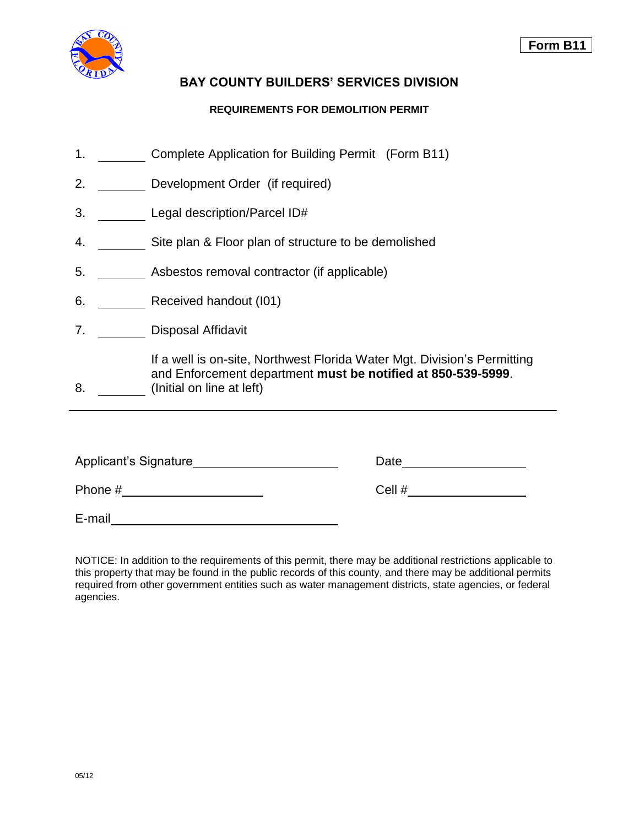

# **BAY COUNTY BUILDERS' SERVICES DIVISION**

## **REQUIREMENTS FOR DEMOLITION PERMIT**

- 1. Complete Application for Building Permit (Form B11)
- 2. Development Order (if required)
- 3. Legal description/Parcel ID#
- 4. \_\_\_\_\_\_\_\_\_ Site plan & Floor plan of structure to be demolished
- 5. Asbestos removal contractor (if applicable)
- 6. \_\_\_\_\_\_\_\_ Received handout (I01)
- 7. Disposal Affidavit

If a well is on-site, Northwest Florida Water Mgt. Division's Permitting and Enforcement department **must be notified at 850-539-5999**.

8. (Initial on line at left)

| Applicant's Signature | Date   |
|-----------------------|--------|
| Phone #               | Cell # |
| E-mail                |        |

NOTICE: In addition to the requirements of this permit, there may be additional restrictions applicable to this property that may be found in the public records of this county, and there may be additional permits required from other government entities such as water management districts, state agencies, or federal agencies.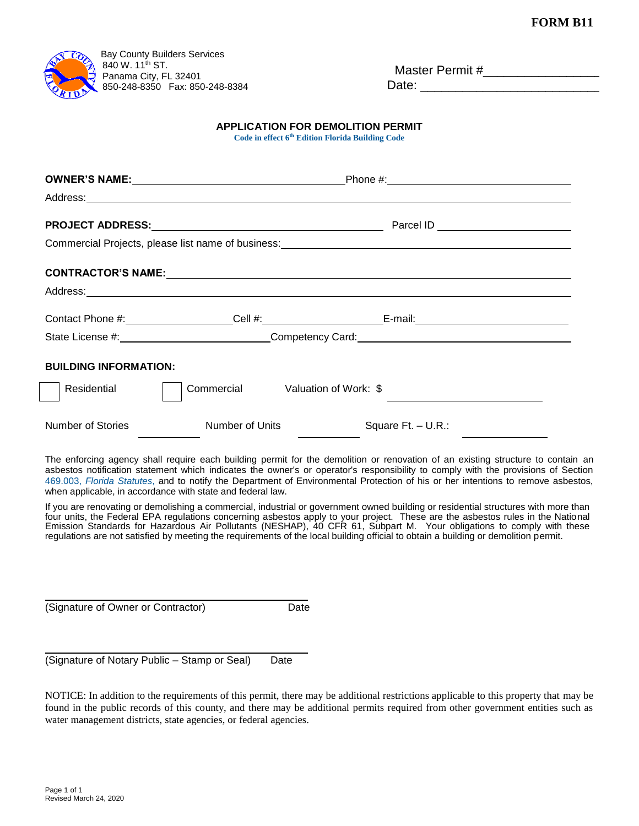

| Master Permit # |  |
|-----------------|--|
| Date:           |  |

## **APPLICATION FOR DEMOLITION PERMIT**

**Code in effect 6 th [Edition Florida Building Code](http://www2.iccsafe.org/states/florida_codes/)**

|                                              |                                                            | Commercial Projects, please list name of business:_______________________________                                                                                                                                                                                                                                                                                                                                                                                                                                                      |  |
|----------------------------------------------|------------------------------------------------------------|----------------------------------------------------------------------------------------------------------------------------------------------------------------------------------------------------------------------------------------------------------------------------------------------------------------------------------------------------------------------------------------------------------------------------------------------------------------------------------------------------------------------------------------|--|
|                                              |                                                            |                                                                                                                                                                                                                                                                                                                                                                                                                                                                                                                                        |  |
|                                              |                                                            |                                                                                                                                                                                                                                                                                                                                                                                                                                                                                                                                        |  |
|                                              |                                                            |                                                                                                                                                                                                                                                                                                                                                                                                                                                                                                                                        |  |
|                                              | State License #: Competency Card: Competency Card:         |                                                                                                                                                                                                                                                                                                                                                                                                                                                                                                                                        |  |
| <b>BUILDING INFORMATION:</b>                 |                                                            |                                                                                                                                                                                                                                                                                                                                                                                                                                                                                                                                        |  |
| Residential                                  |                                                            | Commercial Valuation of Work: \$                                                                                                                                                                                                                                                                                                                                                                                                                                                                                                       |  |
| Number of Stories                            | Number of Units                                            | Square Ft. - U.R.:                                                                                                                                                                                                                                                                                                                                                                                                                                                                                                                     |  |
|                                              | when applicable, in accordance with state and federal law. | The enforcing agency shall require each building permit for the demolition or renovation of an existing structure to contain an<br>asbestos notification statement which indicates the owner's or operator's responsibility to comply with the provisions of Section<br>469.003, Florida Statutes, and to notify the Department of Environmental Protection of his or her intentions to remove asbestos,                                                                                                                               |  |
|                                              |                                                            | If you are renovating or demolishing a commercial, industrial or government owned building or residential structures with more than<br>four units, the Federal EPA regulations concerning asbestos apply to your project. These are the asbestos rules in the National<br>Emission Standards for Hazardous Air Pollutants (NESHAP), 40 CFR 61, Subpart M. Your obligations to comply with these<br>regulations are not satisfied by meeting the requirements of the local building official to obtain a building or demolition permit. |  |
| (Signature of Owner or Contractor)           | Date                                                       |                                                                                                                                                                                                                                                                                                                                                                                                                                                                                                                                        |  |
|                                              |                                                            |                                                                                                                                                                                                                                                                                                                                                                                                                                                                                                                                        |  |
| (Signature of Notary Public - Stamp or Seal) | Date                                                       |                                                                                                                                                                                                                                                                                                                                                                                                                                                                                                                                        |  |

NOTICE: In addition to the requirements of this permit, there may be additional restrictions applicable to this property that may be found in the public records of this county, and there may be additional permits required from other government entities such as water management districts, state agencies, or federal agencies.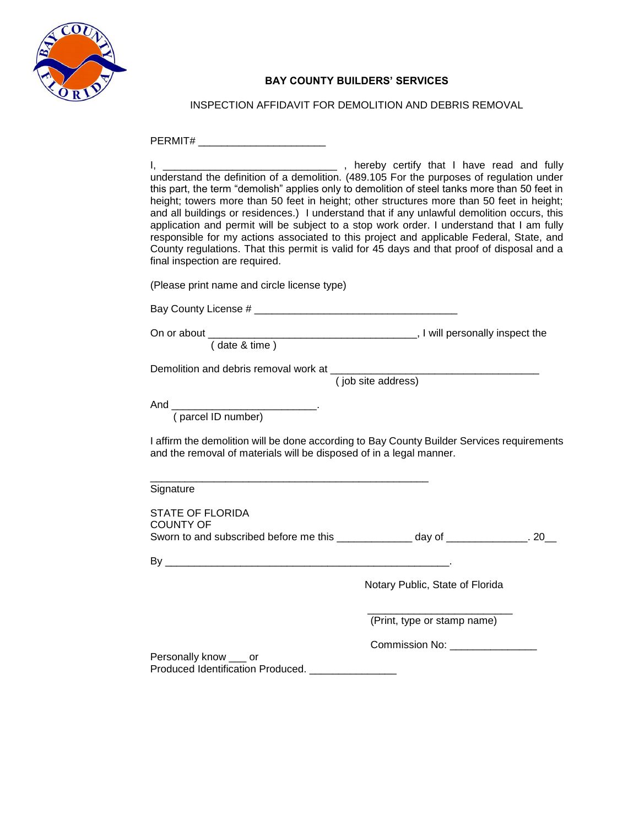

## **BAY COUNTY BUILDERS' SERVICES**

INSPECTION AFFIDAVIT FOR DEMOLITION AND DEBRIS REMOVAL

| PERMIT# __________________________                                                            |                                                                                                                                                                                                                                                                                                                                                                                                                                                                                                                                                                                                                                                                                                                                           |
|-----------------------------------------------------------------------------------------------|-------------------------------------------------------------------------------------------------------------------------------------------------------------------------------------------------------------------------------------------------------------------------------------------------------------------------------------------------------------------------------------------------------------------------------------------------------------------------------------------------------------------------------------------------------------------------------------------------------------------------------------------------------------------------------------------------------------------------------------------|
| <u>l, __________________</u><br>final inspection are required.                                | ______________, hereby certify that I have read and fully<br>understand the definition of a demolition. (489.105 For the purposes of regulation under<br>this part, the term "demolish" applies only to demolition of steel tanks more than 50 feet in<br>height; towers more than 50 feet in height; other structures more than 50 feet in height;<br>and all buildings or residences.) I understand that if any unlawful demolition occurs, this<br>application and permit will be subject to a stop work order. I understand that I am fully<br>responsible for my actions associated to this project and applicable Federal, State, and<br>County regulations. That this permit is valid for 45 days and that proof of disposal and a |
| (Please print name and circle license type)                                                   |                                                                                                                                                                                                                                                                                                                                                                                                                                                                                                                                                                                                                                                                                                                                           |
|                                                                                               |                                                                                                                                                                                                                                                                                                                                                                                                                                                                                                                                                                                                                                                                                                                                           |
| On or about (date & time) (date & time)                                                       |                                                                                                                                                                                                                                                                                                                                                                                                                                                                                                                                                                                                                                                                                                                                           |
| Demolition and debris removal work at (job site address)                                      |                                                                                                                                                                                                                                                                                                                                                                                                                                                                                                                                                                                                                                                                                                                                           |
| And (parcel ID number)<br>and the removal of materials will be disposed of in a legal manner. | I affirm the demolition will be done according to Bay County Builder Services requirements                                                                                                                                                                                                                                                                                                                                                                                                                                                                                                                                                                                                                                                |
| Signature                                                                                     |                                                                                                                                                                                                                                                                                                                                                                                                                                                                                                                                                                                                                                                                                                                                           |
| <b>STATE OF FLORIDA</b><br><b>COUNTY OF</b>                                                   | Sworn to and subscribed before me this _____________ day of ____________. 20__                                                                                                                                                                                                                                                                                                                                                                                                                                                                                                                                                                                                                                                            |
|                                                                                               |                                                                                                                                                                                                                                                                                                                                                                                                                                                                                                                                                                                                                                                                                                                                           |
|                                                                                               | Notary Public, State of Florida                                                                                                                                                                                                                                                                                                                                                                                                                                                                                                                                                                                                                                                                                                           |
|                                                                                               | (Print, type or stamp name)                                                                                                                                                                                                                                                                                                                                                                                                                                                                                                                                                                                                                                                                                                               |
|                                                                                               | <b>Commission No: Commission No:</b>                                                                                                                                                                                                                                                                                                                                                                                                                                                                                                                                                                                                                                                                                                      |
| Personally know ___ or<br>Produced Identification Produced.                                   |                                                                                                                                                                                                                                                                                                                                                                                                                                                                                                                                                                                                                                                                                                                                           |